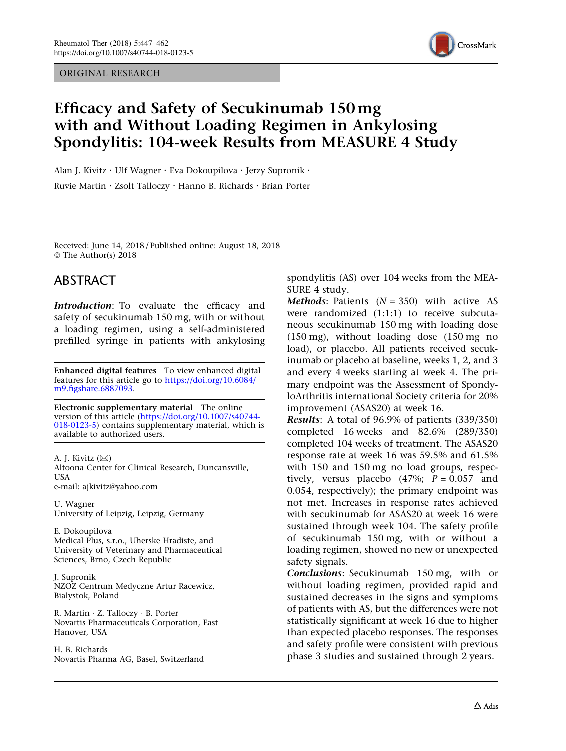ORIGINAL RESEARCH



# Efficacy and Safety of Secukinumab 150mg with and Without Loading Regimen in Ankylosing Spondylitis: 104-week Results from MEASURE 4 Study

Alan J. Kivitz · Ulf Wagner · Eva Dokoupilova · Jerzy Supronik · Ruvie Martin · Zsolt Talloczy · Hanno B. Richards · Brian Porter

Received: June 14, 2018 / Published online: August 18, 2018 © The Author(s) 2018

# ABSTRACT

Introduction: To evaluate the efficacy and safety of secukinumab 150 mg, with or without a loading regimen, using a self-administered prefilled syringe in patients with ankylosing

Enhanced digital features To view enhanced digital features for this article go to [https://doi.org/10.6084/](http://dx.doi.org/10.6084/m9.figshare.6887093) [m9.figshare.6887093.](http://dx.doi.org/10.6084/m9.figshare.6887093)

Electronic supplementary material The online version of this article ([https://doi.org/10.1007/s40744-](http://dx.doi.org/10.1007/s40744-018-0123-5) [018-0123-5](http://dx.doi.org/10.1007/s40744-018-0123-5)) contains supplementary material, which is available to authorized users.

A. I. Kivitz  $(\boxtimes)$ Altoona Center for Clinical Research, Duncansville, USA e-mail: ajkivitz@yahoo.com

U. Wagner University of Leipzig, Leipzig, Germany

E. Dokoupilova Medical Plus, s.r.o., Uherske Hradiste, and University of Veterinary and Pharmaceutical Sciences, Brno, Czech Republic

J. Supronik NZOZ Centrum Medyczne Artur Racewicz, Bialystok, Poland

R. Martin - Z. Talloczy - B. Porter Novartis Pharmaceuticals Corporation, East Hanover, USA

H. B. Richards Novartis Pharma AG, Basel, Switzerland spondylitis (AS) over 104 weeks from the MEA-SURE 4 study.

**Methods:** Patients  $(N = 350)$  with active AS were randomized (1:1:1) to receive subcutaneous secukinumab 150 mg with loading dose (150 mg), without loading dose (150 mg no load), or placebo. All patients received secukinumab or placebo at baseline, weeks 1, 2, and 3 and every 4 weeks starting at week 4. The primary endpoint was the Assessment of SpondyloArthritis international Society criteria for 20% improvement (ASAS20) at week 16.

Results: A total of 96.9% of patients (339/350) completed 16 weeks and 82.6% (289/350) completed 104 weeks of treatment. The ASAS20 response rate at week 16 was 59.5% and 61.5% with 150 and 150 mg no load groups, respectively, versus placebo (47%;  $P = 0.057$  and 0.054, respectively); the primary endpoint was not met. Increases in response rates achieved with secukinumab for ASAS20 at week 16 were sustained through week 104. The safety profile of secukinumab 150 mg, with or without a loading regimen, showed no new or unexpected safety signals.

Conclusions: Secukinumab 150 mg, with or without loading regimen, provided rapid and sustained decreases in the signs and symptoms of patients with AS, but the differences were not statistically significant at week 16 due to higher than expected placebo responses. The responses and safety profile were consistent with previous phase 3 studies and sustained through 2 years.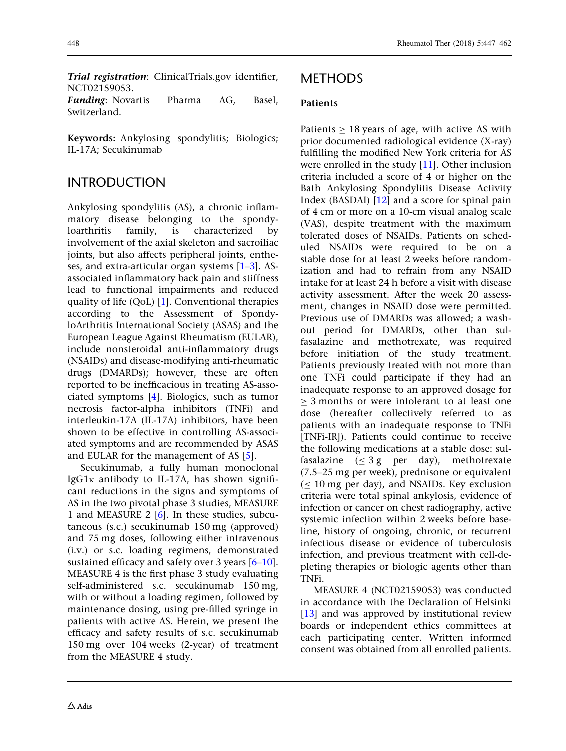Trial registration: ClinicalTrials.gov identifier, NCT02159053.

Funding: Novartis Pharma AG, Basel, Switzerland.

Keywords: Ankylosing spondylitis; Biologics; IL-17A; Secukinumab

### INTRODUCTION

Ankylosing spondylitis (AS), a chronic inflammatory disease belonging to the spondyloarthritis family, is characterized by involvement of the axial skeleton and sacroiliac joints, but also affects peripheral joints, entheses, and extra-articular organ systems [\[1](#page-14-0)–[3\]](#page-14-0). ASassociated inflammatory back pain and stiffness lead to functional impairments and reduced quality of life (QoL) [[1\]](#page-14-0). Conventional therapies according to the Assessment of SpondyloArthritis International Society (ASAS) and the European League Against Rheumatism (EULAR), include nonsteroidal anti-inflammatory drugs (NSAIDs) and disease-modifying anti-rheumatic drugs (DMARDs); however, these are often reported to be inefficacious in treating AS-associated symptoms [\[4\]](#page-14-0). Biologics, such as tumor necrosis factor-alpha inhibitors (TNFi) and interleukin-17A (IL-17A) inhibitors, have been shown to be effective in controlling AS-associated symptoms and are recommended by ASAS and EULAR for the management of AS [[5](#page-14-0)].

Secukinumab, a fully human monoclonal IgG1 $\kappa$  antibody to IL-17A, has shown significant reductions in the signs and symptoms of AS in the two pivotal phase 3 studies, MEASURE 1 and MEASURE 2 [[6\]](#page-14-0). In these studies, subcutaneous (s.c.) secukinumab 150 mg (approved) and 75 mg doses, following either intravenous (i.v.) or s.c. loading regimens, demonstrated sustained efficacy and safety over 3 years [\[6–](#page-14-0)[10](#page-15-0)]. MEASURE 4 is the first phase 3 study evaluating self-administered s.c. secukinumab 150 mg, with or without a loading regimen, followed by maintenance dosing, using pre-filled syringe in patients with active AS. Herein, we present the efficacy and safety results of s.c. secukinumab 150 mg over 104 weeks (2-year) of treatment from the MEASURE 4 study.

### **METHODS**

#### **Patients**

Patients  $\geq 18$  years of age, with active AS with prior documented radiological evidence (X-ray) fulfilling the modified New York criteria for AS were enrolled in the study [\[11\]](#page-15-0). Other inclusion criteria included a score of 4 or higher on the Bath Ankylosing Spondylitis Disease Activity Index (BASDAI) [[12](#page-15-0)] and a score for spinal pain of 4 cm or more on a 10-cm visual analog scale (VAS), despite treatment with the maximum tolerated doses of NSAIDs. Patients on scheduled NSAIDs were required to be on a stable dose for at least 2 weeks before randomization and had to refrain from any NSAID intake for at least 24 h before a visit with disease activity assessment. After the week 20 assessment, changes in NSAID dose were permitted. Previous use of DMARDs was allowed; a washout period for DMARDs, other than sulfasalazine and methotrexate, was required before initiation of the study treatment. Patients previously treated with not more than one TNFi could participate if they had an inadequate response to an approved dosage for  $>$  3 months or were intolerant to at least one dose (hereafter collectively referred to as patients with an inadequate response to TNFi [TNFi-IR]). Patients could continue to receive the following medications at a stable dose: sulfasalazine  $(\leq 3 \text{ g per day})$ , methotrexate (7.5–25 mg per week), prednisone or equivalent  $(\leq 10 \text{ mg per day})$ , and NSAIDs. Key exclusion criteria were total spinal ankylosis, evidence of infection or cancer on chest radiography, active systemic infection within 2 weeks before baseline, history of ongoing, chronic, or recurrent infectious disease or evidence of tuberculosis infection, and previous treatment with cell-depleting therapies or biologic agents other than TNFi.

MEASURE 4 (NCT02159053) was conducted in accordance with the Declaration of Helsinki [\[13\]](#page-15-0) and was approved by institutional review boards or independent ethics committees at each participating center. Written informed consent was obtained from all enrolled patients.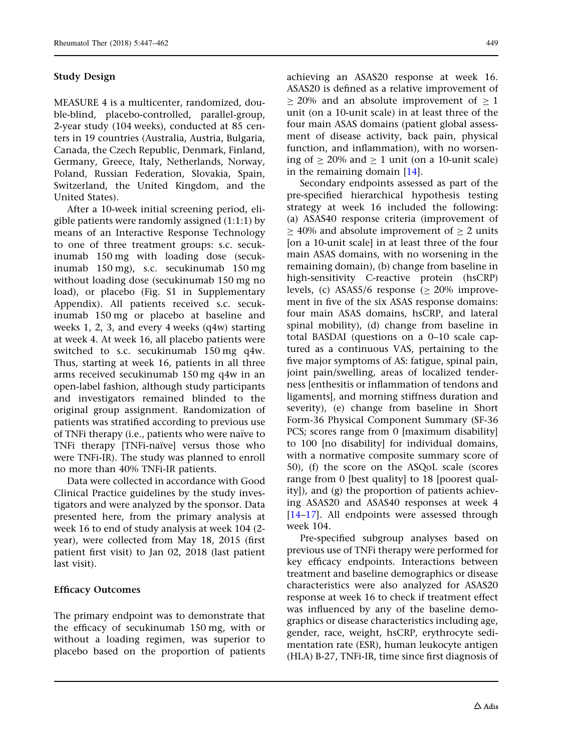### Study Design

MEASURE 4 is a multicenter, randomized, double-blind, placebo-controlled, parallel-group, 2-year study (104 weeks), conducted at 85 centers in 19 countries (Australia, Austria, Bulgaria, Canada, the Czech Republic, Denmark, Finland, Germany, Greece, Italy, Netherlands, Norway, Poland, Russian Federation, Slovakia, Spain, Switzerland, the United Kingdom, and the United States).

After a 10-week initial screening period, eligible patients were randomly assigned (1:1:1) by means of an Interactive Response Technology to one of three treatment groups: s.c. secukinumab 150 mg with loading dose (secukinumab 150 mg), s.c. secukinumab 150 mg without loading dose (secukinumab 150 mg no load), or placebo (Fig. S1 in Supplementary Appendix). All patients received s.c. secukinumab 150 mg or placebo at baseline and weeks 1, 2, 3, and every 4 weeks (q4w) starting at week 4. At week 16, all placebo patients were switched to s.c. secukinumab 150 mg q4w. Thus, starting at week 16, patients in all three arms received secukinumab 150 mg q4w in an open-label fashion, although study participants and investigators remained blinded to the original group assignment. Randomization of patients was stratified according to previous use of TNFi therapy (i.e., patients who were naïve to TNFi therapy [TNFi-naïve] versus those who were TNFi-IR). The study was planned to enroll no more than 40% TNFi-IR patients.

Data were collected in accordance with Good Clinical Practice guidelines by the study investigators and were analyzed by the sponsor. Data presented here, from the primary analysis at week 16 to end of study analysis at week 104 (2 year), were collected from May 18, 2015 (first patient first visit) to Jan 02, 2018 (last patient last visit).

#### Efficacy Outcomes

The primary endpoint was to demonstrate that the efficacy of secukinumab 150 mg, with or without a loading regimen, was superior to placebo based on the proportion of patients

achieving an ASAS20 response at week 16. ASAS20 is defined as a relative improvement of  $> 20\%$  and an absolute improvement of  $> 1$ unit (on a 10-unit scale) in at least three of the four main ASAS domains (patient global assessment of disease activity, back pain, physical function, and inflammation), with no worsening of  $> 20\%$  and  $> 1$  unit (on a 10-unit scale) in the remaining domain [[14](#page-15-0)].

Secondary endpoints assessed as part of the pre-specified hierarchical hypothesis testing strategy at week 16 included the following: (a) ASAS40 response criteria (improvement of  $>$  40% and absolute improvement of  $>$  2 units [on a 10-unit scale] in at least three of the four main ASAS domains, with no worsening in the remaining domain), (b) change from baseline in high-sensitivity C-reactive protein (hsCRP) levels, (c)  $ASAS5/6$  response ( $> 20\%$  improvement in five of the six ASAS response domains: four main ASAS domains, hsCRP, and lateral spinal mobility), (d) change from baseline in total BASDAI (questions on a 0–10 scale captured as a continuous VAS, pertaining to the five major symptoms of AS: fatigue, spinal pain, joint pain/swelling, areas of localized tenderness [enthesitis or inflammation of tendons and ligaments], and morning stiffness duration and severity), (e) change from baseline in Short Form-36 Physical Component Summary (SF-36 PCS; scores range from 0 [maximum disability] to 100 [no disability] for individual domains, with a normative composite summary score of 50), (f) the score on the ASQoL scale (scores range from 0 [best quality] to 18 [poorest quality]), and (g) the proportion of patients achieving ASAS20 and ASAS40 responses at week 4 [\[14–17](#page-15-0)]. All endpoints were assessed through week 104.

Pre-specified subgroup analyses based on previous use of TNFi therapy were performed for key efficacy endpoints. Interactions between treatment and baseline demographics or disease characteristics were also analyzed for ASAS20 response at week 16 to check if treatment effect was influenced by any of the baseline demographics or disease characteristics including age, gender, race, weight, hsCRP, erythrocyte sedimentation rate (ESR), human leukocyte antigen (HLA) B-27, TNFi-IR, time since first diagnosis of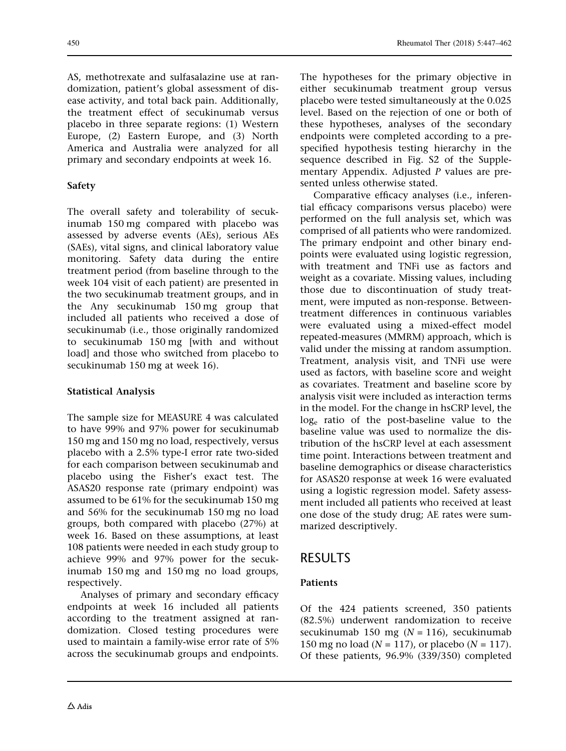AS, methotrexate and sulfasalazine use at randomization, patient's global assessment of disease activity, and total back pain. Additionally, the treatment effect of secukinumab versus placebo in three separate regions: (1) Western Europe, (2) Eastern Europe, and (3) North America and Australia were analyzed for all primary and secondary endpoints at week 16.

### Safety

The overall safety and tolerability of secukinumab 150 mg compared with placebo was assessed by adverse events (AEs), serious AEs (SAEs), vital signs, and clinical laboratory value monitoring. Safety data during the entire treatment period (from baseline through to the week 104 visit of each patient) are presented in the two secukinumab treatment groups, and in the Any secukinumab 150 mg group that included all patients who received a dose of secukinumab (i.e., those originally randomized to secukinumab 150 mg [with and without load] and those who switched from placebo to secukinumab 150 mg at week 16).

### Statistical Analysis

The sample size for MEASURE 4 was calculated to have 99% and 97% power for secukinumab 150 mg and 150 mg no load, respectively, versus placebo with a 2.5% type-I error rate two-sided for each comparison between secukinumab and placebo using the Fisher's exact test. The ASAS20 response rate (primary endpoint) was assumed to be 61% for the secukinumab 150 mg and 56% for the secukinumab 150 mg no load groups, both compared with placebo (27%) at week 16. Based on these assumptions, at least 108 patients were needed in each study group to achieve 99% and 97% power for the secukinumab 150 mg and 150 mg no load groups, respectively.

Analyses of primary and secondary efficacy endpoints at week 16 included all patients according to the treatment assigned at randomization. Closed testing procedures were used to maintain a family-wise error rate of 5% across the secukinumab groups and endpoints.

The hypotheses for the primary objective in either secukinumab treatment group versus placebo were tested simultaneously at the 0.025 level. Based on the rejection of one or both of these hypotheses, analyses of the secondary endpoints were completed according to a prespecified hypothesis testing hierarchy in the sequence described in Fig. S2 of the Supplementary Appendix. Adjusted P values are presented unless otherwise stated.

Comparative efficacy analyses (i.e., inferential efficacy comparisons versus placebo) were performed on the full analysis set, which was comprised of all patients who were randomized. The primary endpoint and other binary endpoints were evaluated using logistic regression, with treatment and TNFi use as factors and weight as a covariate. Missing values, including those due to discontinuation of study treatment, were imputed as non-response. Betweentreatment differences in continuous variables were evaluated using a mixed-effect model repeated-measures (MMRM) approach, which is valid under the missing at random assumption. Treatment, analysis visit, and TNFi use were used as factors, with baseline score and weight as covariates. Treatment and baseline score by analysis visit were included as interaction terms in the model. For the change in hsCRP level, the loge ratio of the post-baseline value to the baseline value was used to normalize the distribution of the hsCRP level at each assessment time point. Interactions between treatment and baseline demographics or disease characteristics for ASAS20 response at week 16 were evaluated using a logistic regression model. Safety assessment included all patients who received at least one dose of the study drug; AE rates were summarized descriptively.

### RESULTS

### Patients

Of the 424 patients screened, 350 patients (82.5%) underwent randomization to receive secukinumab 150 mg ( $N = 116$ ), secukinumab 150 mg no load ( $N = 117$ ), or placebo ( $N = 117$ ). Of these patients, 96.9% (339/350) completed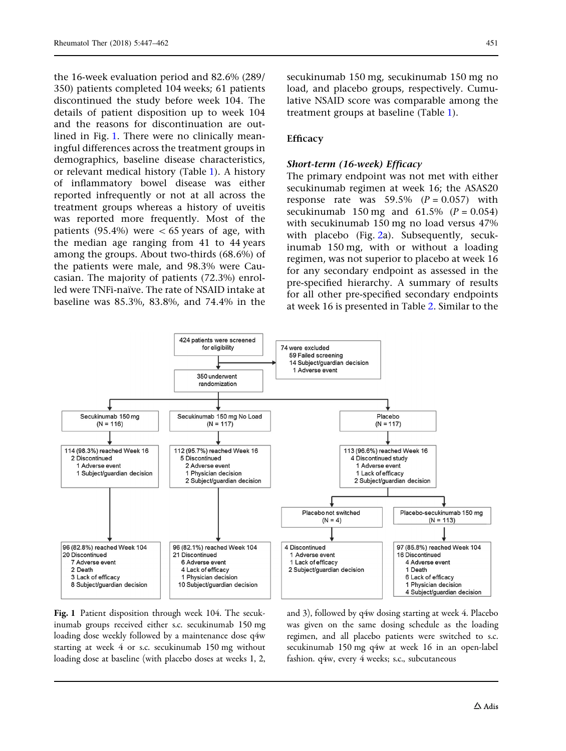the 16-week evaluation period and 82.6% (289/ 350) patients completed 104 weeks; 61 patients discontinued the study before week 104. The details of patient disposition up to week 104 and the reasons for discontinuation are outlined in Fig. 1. There were no clinically meaningful differences across the treatment groups in demographics, baseline disease characteristics, or relevant medical history (Table [1\)](#page-5-0). A history of inflammatory bowel disease was either reported infrequently or not at all across the treatment groups whereas a history of uveitis was reported more frequently. Most of the patients (95.4%) were  $\lt$  65 years of age, with the median age ranging from 41 to 44 years among the groups. About two-thirds (68.6%) of the patients were male, and 98.3% were Caucasian. The majority of patients (72.3%) enrolled were TNFi-naïve. The rate of NSAID intake at baseline was 85.3%, 83.8%, and 74.4% in the

secukinumab 150 mg, secukinumab 150 mg no load, and placebo groups, respectively. Cumulative NSAID score was comparable among the treatment groups at baseline (Table [1](#page-5-0)).

#### **Efficacy**

#### Short-term (16-week) Efficacy

The primary endpoint was not met with either secukinumab regimen at week 16; the ASAS20 response rate was  $59.5\%$   $(P = 0.057)$  with secukinumab 150 mg and 61.5% ( $P = 0.054$ ) with secukinumab 150 mg no load versus 47% with placebo (Fig. [2](#page-6-0)a). Subsequently, secukinumab 150 mg, with or without a loading regimen, was not superior to placebo at week 16 for any secondary endpoint as assessed in the pre-specified hierarchy. A summary of results for all other pre-specified secondary endpoints at week 16 is presented in Table [2](#page-7-0). Similar to the



Fig. 1 Patient disposition through week 104. The secukinumab groups received either s.c. secukinumab 150 mg loading dose weekly followed by a maintenance dose q4w starting at week 4 or s.c. secukinumab 150 mg without loading dose at baseline (with placebo doses at weeks 1, 2,

and 3), followed by q4w dosing starting at week 4. Placebo was given on the same dosing schedule as the loading regimen, and all placebo patients were switched to s.c. secukinumab 150 mg q4w at week 16 in an open-label fashion. q4w, every 4 weeks; s.c., subcutaneous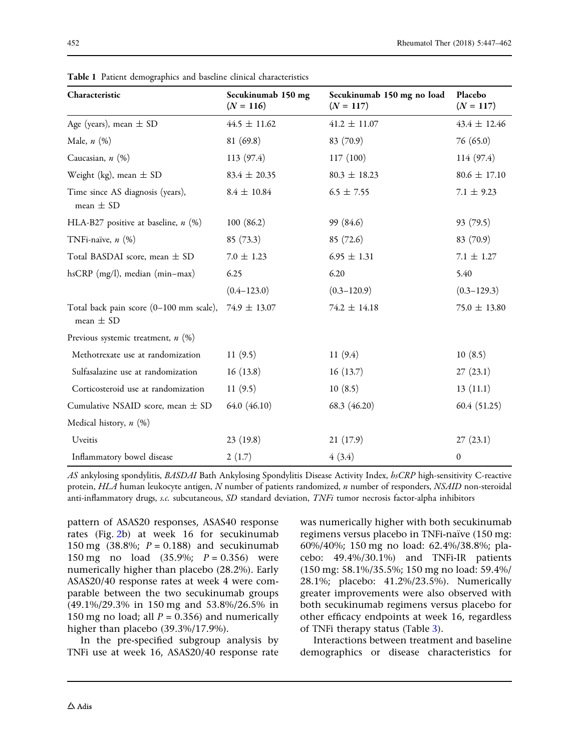| Characteristic                                                            | Secukinumab 150 mg<br>$(N = 116)$ | Secukinumab 150 mg no load<br>$(N = 117)$ | Placebo<br>$(N = 117)$ |
|---------------------------------------------------------------------------|-----------------------------------|-------------------------------------------|------------------------|
| Age (years), mean $\pm$ SD                                                | $44.5 \pm 11.62$                  | $41.2 \pm 11.07$                          | $43.4 \pm 12.46$       |
| Male, $n$ $(\%)$                                                          | 81(69.8)                          | 83 (70.9)                                 | 76(65.0)               |
| Caucasian, $n$ $(\%)$                                                     | 113(97.4)                         | 117(100)                                  | 114(97.4)              |
| Weight (kg), mean $\pm$ SD                                                | $83.4 \pm 20.35$                  | $80.3 \pm 18.23$                          | $80.6 \pm 17.10$       |
| Time since AS diagnosis (years),<br>mean $\pm$ SD                         | $8.4 \pm 10.84$                   | $6.5 \pm 7.55$                            | $7.1 \pm 9.23$         |
| HLA-B27 positive at baseline, $n$ (%)                                     | 100(86.2)                         | 99 (84.6)                                 | 93 (79.5)              |
| TNFi-naïve, $n$ $(\%)$                                                    | 85(73.3)                          | 85(72.6)                                  | 83 (70.9)              |
| Total BASDAI score, mean ± SD                                             | $7.0 \pm 1.23$                    | $6.95 \pm 1.31$                           | $7.1 \pm 1.27$         |
| hsCRP (mg/l), median (min-max)                                            | 6.25                              | 6.20                                      | 5.40                   |
|                                                                           | $(0.4 - 123.0)$                   | $(0.3 - 120.9)$                           | $(0.3 - 129.3)$        |
| Total back pain score (0-100 mm scale), $74.9 \pm 13.07$<br>mean $\pm$ SD |                                   | $74.2 \pm 14.18$                          | $75.0 \pm 13.80$       |
| Previous systemic treatment, $n$ (%)                                      |                                   |                                           |                        |
| Methotrexate use at randomization                                         | 11(9.5)                           | 11(9.4)                                   | 10(8.5)                |
| Sulfasalazine use at randomization                                        | 16(13.8)                          | 16(13.7)                                  | 27(23.1)               |
| Corticosteroid use at randomization                                       | 11(9.5)                           | 10(8.5)                                   | 13(11.1)               |
| Cumulative NSAID score, mean $\pm$ SD                                     | 64.0 (46.10)                      | 68.3 (46.20)                              | 60.4(51.25)            |
| Medical history, n (%)                                                    |                                   |                                           |                        |
| Uveitis                                                                   | 23(19.8)                          | 21(17.9)                                  | 27(23.1)               |
| Inflammatory bowel disease                                                | 2(1.7)                            | 4(3.4)                                    | $\boldsymbol{0}$       |

<span id="page-5-0"></span>Table 1 Patient demographics and baseline clinical characteristics

AS ankylosing spondylitis, BASDAI Bath Ankylosing Spondylitis Disease Activity Index, hsCRP high-sensitivity C-reactive protein, HLA human leukocyte antigen, N number of patients randomized, n number of responders, NSAID non-steroidal anti-inflammatory drugs, s.c. subcutaneous, SD standard deviation, TNFi tumor necrosis factor-alpha inhibitors

pattern of ASAS20 responses, ASAS40 response rates (Fig. [2](#page-6-0)b) at week 16 for secukinumab 150 mg (38.8%;  $P = 0.188$ ) and secukinumab 150 mg no load  $(35.9\%; P = 0.356)$  were numerically higher than placebo (28.2%). Early ASAS20/40 response rates at week 4 were comparable between the two secukinumab groups (49.1%/29.3% in 150 mg and 53.8%/26.5% in 150 mg no load; all  $P = 0.356$ ) and numerically higher than placebo (39.3%/17.9%).

In the pre-specified subgroup analysis by TNFi use at week 16, ASAS20/40 response rate was numerically higher with both secukinumab regimens versus placebo in TNFi-naïve (150 mg: 60%/40%; 150 mg no load: 62.4%/38.8%; placebo: 49.4%/30.1%) and TNFi-IR patients (150 mg: 58.1%/35.5%; 150 mg no load: 59.4%/ 28.1%; placebo: 41.2%/23.5%). Numerically greater improvements were also observed with both secukinumab regimens versus placebo for other efficacy endpoints at week 16, regardless of TNFi therapy status (Table [3\)](#page-8-0).

Interactions between treatment and baseline demographics or disease characteristics for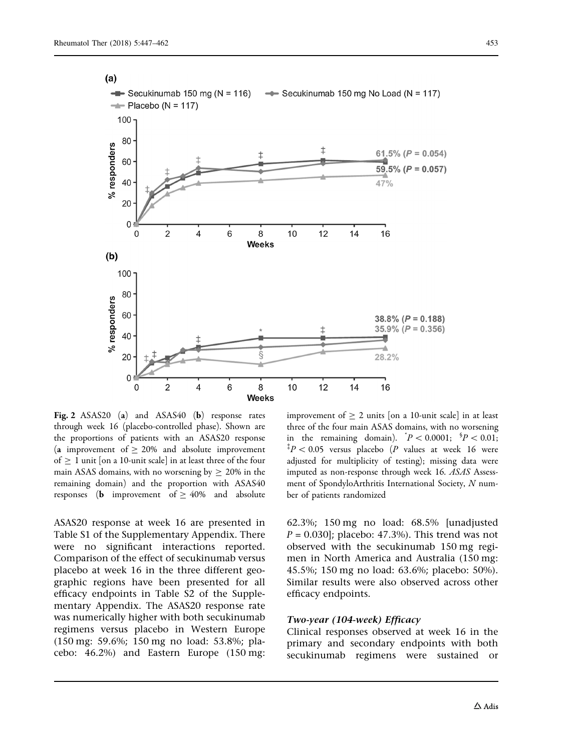<span id="page-6-0"></span>

Fig. 2 ASAS20 (a) and ASAS40 (b) response rates through week 16 (placebo-controlled phase). Shown are the proportions of patients with an ASAS20 response (a improvement of  $\geq 20\%$  and absolute improvement of  $\geq 1$  unit [on a 10-unit scale] in at least three of the four main ASAS domains, with no worsening by  $\geq 20\%$  in the remaining domain) and the proportion with ASAS40 responses (**b** improvement of  $\geq 40\%$  and absolute

ASAS20 response at week 16 are presented in Table S1 of the Supplementary Appendix. There were no significant interactions reported. Comparison of the effect of secukinumab versus placebo at week 16 in the three different geographic regions have been presented for all efficacy endpoints in Table S2 of the Supplementary Appendix. The ASAS20 response rate was numerically higher with both secukinumab regimens versus placebo in Western Europe (150 mg: 59.6%; 150 mg no load: 53.8%; placebo: 46.2%) and Eastern Europe (150 mg:

improvement of  $> 2$  units [on a 10-unit scale] in at least three of the four main ASAS domains, with no worsening in the remaining domain).  $P < 0.0001;$   ${}^{6}P < 0.01;$  $p^*P < 0.05$  versus placebo (P values at week 16 were adjusted for multiplicity of testing); missing data were imputed as non-response through week 16. ASAS Assessment of SpondyloArthritis International Society, N number of patients randomized

62.3%; 150 mg no load: 68.5% [unadjusted  $P = 0.030$ ; placebo: 47.3%). This trend was not observed with the secukinumab 150 mg regimen in North America and Australia (150 mg: 45.5%; 150 mg no load: 63.6%; placebo: 50%). Similar results were also observed across other efficacy endpoints.

#### Two-year (104-week) Efficacy

Clinical responses observed at week 16 in the primary and secondary endpoints with both secukinumab regimens were sustained or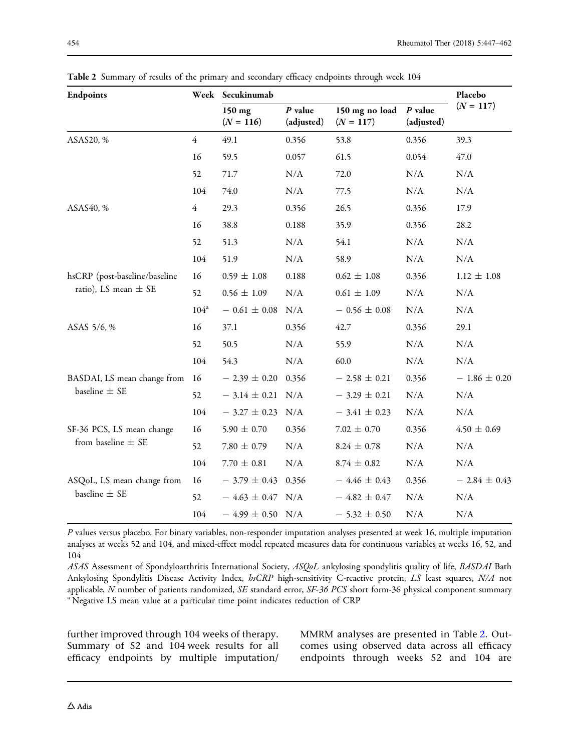| <b>Endpoints</b>              |                | Week Secukinumab      |                         |                               |                         | Placebo          |
|-------------------------------|----------------|-----------------------|-------------------------|-------------------------------|-------------------------|------------------|
|                               |                | 150 mg<br>$(N = 116)$ | $P$ value<br>(adjusted) | 150 mg no load<br>$(N = 117)$ | $P$ value<br>(adjusted) | $(N = 117)$      |
| ASAS20, %                     | $\overline{4}$ | 49.1                  | 0.356                   | 53.8                          | 0.356                   | 39.3             |
|                               | 16             | 59.5                  | 0.057                   | 61.5                          | 0.054                   | 47.0             |
|                               | 52             | 71.7                  | N/A                     | 72.0                          | N/A                     | N/A              |
|                               | 104            | 74.0                  | N/A                     | 77.5                          | N/A                     | N/A              |
| ASAS40, %                     | $\overline{4}$ | 29.3                  | 0.356                   | 26.5                          | 0.356                   | 17.9             |
|                               | 16             | 38.8                  | 0.188                   | 35.9                          | 0.356                   | 28.2             |
|                               | 52             | 51.3                  | N/A                     | 54.1                          | N/A                     | N/A              |
|                               | 104            | 51.9                  | N/A                     | 58.9                          | N/A                     | N/A              |
| hsCRP (post-baseline/baseline | 16             | $0.59 \pm 1.08$       | 0.188                   | $0.62 \pm 1.08$               | 0.356                   | $1.12 \pm 1.08$  |
| ratio), LS mean $\pm$ SE      | 52             | $0.56 \pm 1.09$       | $\rm N/A$               | $0.61 \pm 1.09$               | N/A                     | N/A              |
|                               | $104^{\circ}$  | $-0.61 \pm 0.08$      | N/A                     | $-0.56 \pm 0.08$              | N/A                     | N/A              |
| ASAS 5/6, %                   | 16             | 37.1                  | 0.356                   | 42.7                          | 0.356                   | 29.1             |
|                               | 52             | 50.5                  | N/A                     | 55.9                          | N/A                     | N/A              |
|                               | 104            | 54.3                  | N/A                     | 60.0                          | N/A                     | N/A              |
| BASDAI, LS mean change from   | 16             | $-2.39 \pm 0.20$      | 0.356                   | $-2.58 \pm 0.21$              | 0.356                   | $-1.86 \pm 0.20$ |
| baseline $\pm$ SE             | 52             | $-3.14 \pm 0.21$      | N/A                     | $-3.29 \pm 0.21$              | N/A                     | N/A              |
|                               | 104            | $-3.27 \pm 0.23$      | N/A                     | $-3.41 \pm 0.23$              | N/A                     | N/A              |
| SF-36 PCS, LS mean change     | 16             | 5.90 $\pm$ 0.70       | 0.356                   | $7.02 \pm 0.70$               | 0.356                   | $4.50 \pm 0.69$  |
| from baseline $\pm$ SE        | 52             | $7.80 \pm 0.79$       | N/A                     | $8.24 \pm 0.78$               | N/A                     | N/A              |
|                               | 104            | $7.70 \pm 0.81$       | $\rm N/A$               | $8.74 \pm 0.82$               | N/A                     | N/A              |
| ASQoL, LS mean change from    | 16             | $-3.79 \pm 0.43$      | 0.356                   | $-4.46 \pm 0.43$              | 0.356                   | $-2.84 \pm 0.43$ |
| baseline $\pm$ SE             | 52             | $-4.63 \pm 0.47$      | N/A                     | $-4.82 \pm 0.47$              | N/A                     | N/A              |
|                               | 104            | $-4.99 \pm 0.50$ N/A  |                         | $-5.32 \pm 0.50$              | N/A                     | N/A              |

<span id="page-7-0"></span>Table 2 Summary of results of the primary and secondary efficacy endpoints through week 104

P values versus placebo. For binary variables, non-responder imputation analyses presented at week 16, multiple imputation analyses at weeks 52 and 104, and mixed-effect model repeated measures data for continuous variables at weeks 16, 52, and 104

ASAS Assessment of Spondyloarthritis International Society, ASQoL ankylosing spondylitis quality of life, BASDAI Bath Ankylosing Spondylitis Disease Activity Index, hsCRP high-sensitivity C-reactive protein, LS least squares, N/A not applicable,  $N$  number of patients randomized,  $SE$  standard error,  $SF-36$   $PCS$  short form-36 physical component summary  $\textsuperscript{a}$  Negative LS mean value at a particular time point indicates reduction of CRP

further improved through 104 weeks of therapy. Summary of 52 and 104 week results for all efficacy endpoints by multiple imputation/ MMRM analyses are presented in Table 2. Outcomes using observed data across all efficacy endpoints through weeks 52 and 104 are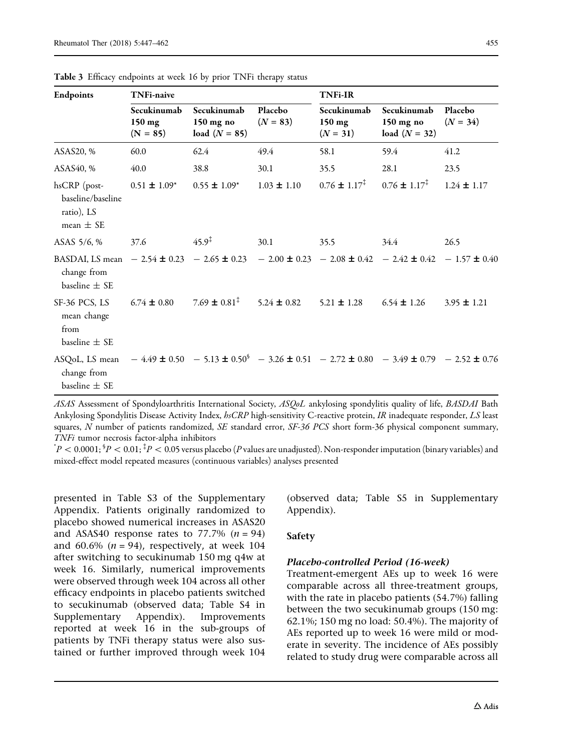| Endpoints                                                                                                                                                  | <b>TNFi-naive</b>                     |                                             |                       | <b>TNFi-IR</b>                                |                                               |                       |
|------------------------------------------------------------------------------------------------------------------------------------------------------------|---------------------------------------|---------------------------------------------|-----------------------|-----------------------------------------------|-----------------------------------------------|-----------------------|
|                                                                                                                                                            | Secukinumab<br>$150$ mg<br>$(N = 85)$ | Secukinumab<br>150 mg no<br>load $(N = 85)$ | Placebo<br>$(N = 83)$ | Secukinumab<br>$150 \text{ mg}$<br>$(N = 31)$ | Secukinumab<br>$150$ mg no<br>load $(N = 32)$ | Placebo<br>$(N = 34)$ |
| ASAS20, %                                                                                                                                                  | 60.0                                  | 62.4                                        | 49.4                  | 58.1                                          | 59.4                                          | 41.2                  |
| ASAS40, %                                                                                                                                                  | 40.0                                  | 38.8                                        | 30.1                  | 35.5                                          | 28.1                                          | 23.5                  |
| hsCRP (post-<br>baseline/baseline<br>ratio), LS<br>mean $\pm$ SE                                                                                           | $0.51 \pm 1.09^*$                     | $0.55 \pm 1.09^*$                           | $1.03 \pm 1.10$       | $0.76 \pm 1.17^{\ddagger}$                    | $0.76 \pm 1.17^{\ddagger}$                    | $1.24 \pm 1.17$       |
| ASAS 5/6, %                                                                                                                                                | 37.6                                  | $45.9^{\ddagger}$                           | 30.1                  | 35.5                                          | 34.4                                          | 26.5                  |
| BASDAI, LS mean $-2.54 \pm 0.23$ $-2.65 \pm 0.23$ $-2.00 \pm 0.23$ $-2.08 \pm 0.42$ $-2.42 \pm 0.42$ $-1.57 \pm 0.40$<br>change from<br>baseline $\pm$ SE  |                                       |                                             |                       |                                               |                                               |                       |
| SF-36 PCS, LS<br>mean change<br>from<br>baseline $\pm$ SE                                                                                                  | $6.74 \pm 0.80$                       | 7.69 $\pm$ 0.81 <sup>‡</sup>                | 5.24 $\pm$ 0.82       | 5.21 $\pm$ 1.28                               | $6.54 \pm 1.26$                               | $3.95 \pm 1.21$       |
| ASQoL, LS mean $-4.49 \pm 0.50$ $-5.13 \pm 0.50^6$ $-3.26 \pm 0.51$ $-2.72 \pm 0.80$ $-3.49 \pm 0.79$ $-2.52 \pm 0.76$<br>change from<br>baseline $\pm$ SE |                                       |                                             |                       |                                               |                                               |                       |

<span id="page-8-0"></span>Table 3 Efficacy endpoints at week 16 by prior TNFi therapy status

ASAS Assessment of Spondyloarthritis International Society, ASQoL ankylosing spondylitis quality of life, BASDAI Bath Ankylosing Spondylitis Disease Activity Index, hsCRP high-sensitivity C-reactive protein, IR inadequate responder, LS least squares, N number of patients randomized, SE standard error, SF-36 PCS short form-36 physical component summary, TNFi tumor necrosis factor-alpha inhibitors \*

 $P < 0.0001; ^5\!P < 0.01; ^4\!P < 0.05$  versus placebo ( $P$  values are unadjusted). Non-responder imputation (binary variables) and mixed-effect model repeated measures (continuous variables) analyses presented

presented in Table S3 of the Supplementary Appendix. Patients originally randomized to placebo showed numerical increases in ASAS20 and ASAS40 response rates to  $77.7\%$  ( $n = 94$ ) and 60.6%  $(n = 94)$ , respectively, at week 104 after switching to secukinumab 150 mg q4w at week 16. Similarly, numerical improvements were observed through week 104 across all other efficacy endpoints in placebo patients switched to secukinumab (observed data; Table S4 in Supplementary Appendix). Improvements reported at week 16 in the sub-groups of patients by TNFi therapy status were also sustained or further improved through week 104

(observed data; Table S5 in Supplementary Appendix).

#### Safety

#### Placebo-controlled Period (16-week)

Treatment-emergent AEs up to week 16 were comparable across all three-treatment groups, with the rate in placebo patients (54.7%) falling between the two secukinumab groups (150 mg: 62.1%; 150 mg no load: 50.4%). The majority of AEs reported up to week 16 were mild or moderate in severity. The incidence of AEs possibly related to study drug were comparable across all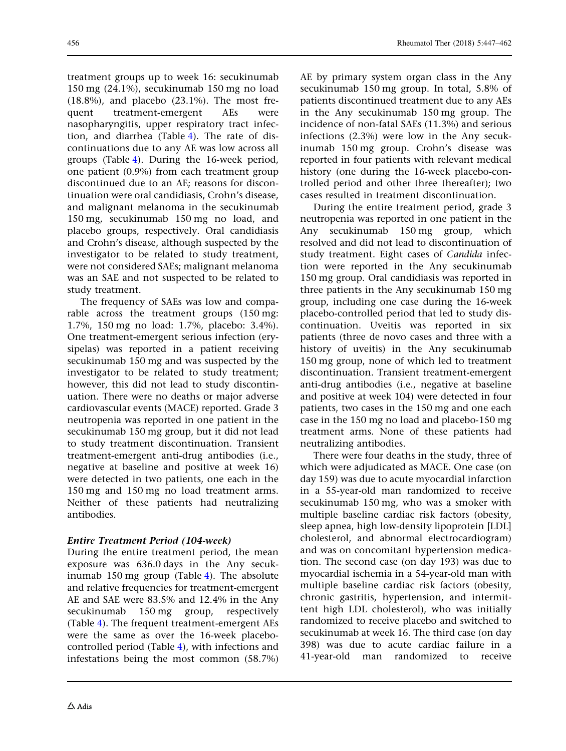treatment groups up to week 16: secukinumab 150 mg (24.1%), secukinumab 150 mg no load (18.8%), and placebo (23.1%). The most frequent treatment-emergent AEs were nasopharyngitis, upper respiratory tract infection, and diarrhea (Table [4](#page-10-0)). The rate of discontinuations due to any AE was low across all groups (Table [4\)](#page-10-0). During the 16-week period, one patient (0.9%) from each treatment group discontinued due to an AE; reasons for discontinuation were oral candidiasis, Crohn's disease, and malignant melanoma in the secukinumab 150 mg, secukinumab 150 mg no load, and placebo groups, respectively. Oral candidiasis and Crohn's disease, although suspected by the investigator to be related to study treatment, were not considered SAEs; malignant melanoma was an SAE and not suspected to be related to study treatment.

The frequency of SAEs was low and comparable across the treatment groups (150 mg: 1.7%, 150 mg no load: 1.7%, placebo: 3.4%). One treatment-emergent serious infection (erysipelas) was reported in a patient receiving secukinumab 150 mg and was suspected by the investigator to be related to study treatment; however, this did not lead to study discontinuation. There were no deaths or major adverse cardiovascular events (MACE) reported. Grade 3 neutropenia was reported in one patient in the secukinumab 150 mg group, but it did not lead to study treatment discontinuation. Transient treatment-emergent anti-drug antibodies (i.e., negative at baseline and positive at week 16) were detected in two patients, one each in the 150 mg and 150 mg no load treatment arms. Neither of these patients had neutralizing antibodies.

### Entire Treatment Period (104-week)

During the entire treatment period, the mean exposure was 636.0 days in the Any secukinumab 150 mg group (Table [4\)](#page-10-0). The absolute and relative frequencies for treatment-emergent AE and SAE were 83.5% and 12.4% in the Any secukinumab 150 mg group, respectively (Table [4\)](#page-10-0). The frequent treatment-emergent AEs were the same as over the 16-week placebocontrolled period (Table [4](#page-10-0)), with infections and infestations being the most common (58.7%) AE by primary system organ class in the Any secukinumab 150 mg group. In total, 5.8% of patients discontinued treatment due to any AEs in the Any secukinumab 150 mg group. The incidence of non-fatal SAEs (11.3%) and serious infections (2.3%) were low in the Any secukinumab 150 mg group. Crohn's disease was reported in four patients with relevant medical history (one during the 16-week placebo-controlled period and other three thereafter); two cases resulted in treatment discontinuation.

During the entire treatment period, grade 3 neutropenia was reported in one patient in the Any secukinumab 150 mg group, which resolved and did not lead to discontinuation of study treatment. Eight cases of Candida infection were reported in the Any secukinumab 150 mg group. Oral candidiasis was reported in three patients in the Any secukinumab 150 mg group, including one case during the 16-week placebo-controlled period that led to study discontinuation. Uveitis was reported in six patients (three de novo cases and three with a history of uveitis) in the Any secukinumab 150 mg group, none of which led to treatment discontinuation. Transient treatment-emergent anti-drug antibodies (i.e., negative at baseline and positive at week 104) were detected in four patients, two cases in the 150 mg and one each case in the 150 mg no load and placebo-150 mg treatment arms. None of these patients had neutralizing antibodies.

There were four deaths in the study, three of which were adjudicated as MACE. One case (on day 159) was due to acute myocardial infarction in a 55-year-old man randomized to receive secukinumab 150 mg, who was a smoker with multiple baseline cardiac risk factors (obesity, sleep apnea, high low-density lipoprotein [LDL] cholesterol, and abnormal electrocardiogram) and was on concomitant hypertension medication. The second case (on day 193) was due to myocardial ischemia in a 54-year-old man with multiple baseline cardiac risk factors (obesity, chronic gastritis, hypertension, and intermittent high LDL cholesterol), who was initially randomized to receive placebo and switched to secukinumab at week 16. The third case (on day 398) was due to acute cardiac failure in a 41-year-old man randomized to receive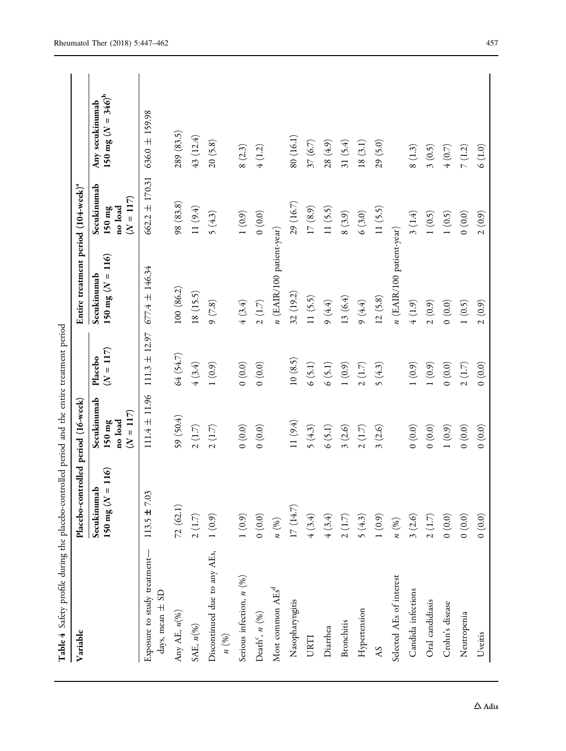<span id="page-10-0"></span>

| Variable                                            | Placebo-controlled period (16-week)       |                                                 |                      | Entire treatment period (104-week) <sup>a</sup> |                                                         |                                                      |
|-----------------------------------------------------|-------------------------------------------|-------------------------------------------------|----------------------|-------------------------------------------------|---------------------------------------------------------|------------------------------------------------------|
|                                                     | $150 \text{ mg} (N = 116)$<br>Secukinumab | Secukinumab<br>$(N = 117)$<br>no load<br>150 mg | $(N=117)$<br>Placebo | $150 \text{ mg} (N = 116)$<br>Secukinumab       | Secukinumab<br>$(N=117)$<br>no load<br>$150 \text{ mg}$ | 150 mg ( $N = 346$ ) <sup>b</sup><br>Any secukinumab |
| Exposure to study treatment-<br>days, mean $\pm$ SD | $113.5 \pm 7.03$                          | $111.4 \pm 11.96$                               | $111.3 \pm 12.97$    | $677.4 \pm 146.34$                              | $662.2 \pm 170.31$                                      | $636.0 \pm 159.98$                                   |
| Any AE, $n(\% )$                                    | 72(62.1)                                  | 59 (50.4)                                       | 64 (54.7)            | 100(86.2)                                       | 98 (83.8)                                               | 289 (83.5)                                           |
| SAE, $n\binom{96}{}$                                | 2(1.7)                                    | $2$ (1.7)                                       | 4(3.4)               | 18(15.5)                                        | 11 $(9.4)$                                              | 43 (12.4)                                            |
| Discontinued due to any AEs,<br>$n\ ( \%)$          | 1(0.9)                                    | $2(1.7)$                                        | 1(0.9)               | $9(7.8)$                                        | 5(4.3)                                                  | 20(5.8)                                              |
| Serious infection, $n$ $(\%)$                       | 1(0.9)                                    | $0\ (0.0)$                                      | $0\ (0.0)$           | 4(3.4)                                          | 1(0.9)                                                  | 8(2.3)                                               |
| Death <sup>c</sup> , $n$ $(%)$                      | $0\ (0.0)$                                | (0.0)                                           | $0\ (0.0)$           | $2\ (1.7)$                                      | $0\ (0.0)$                                              | 4(1.2)                                               |
| Most common AEs <sup>d</sup>                        | $n\ ( \%)$                                |                                                 |                      | $n$ (EAIR/100 patient-year)                     |                                                         |                                                      |
| Nasopharyngitis                                     | 17(14.7)                                  | 11 $(9.4)$                                      | 10(8.5)              | 32(19.2)                                        | 29 (16.7)                                               | 80 (16.1)                                            |
| <b>URTI</b>                                         | $4(3.4)$                                  | 5(4.3)                                          | 6(5.1)               | 11(5.5)                                         | 17(8.9)                                                 | 37(6.7)                                              |
| Diarrhea                                            | 4(3.4)                                    | 6(5.1)                                          | 6(5.1)               | 9(4.4)                                          | 11(5.5)                                                 | 28(4.9)                                              |
| <b>Bronchitis</b>                                   | 2(1.7)                                    | 3(2.6)                                          | 1(0.9)               | 13(6.4)                                         | 8(3.9)                                                  | 31 $(5.4)$                                           |
| Hypertension                                        | 5(4.3)                                    | $2\ (1.7)$                                      | $2\ (1.7)$           | 9(4.4)                                          | 6(3.0)                                                  | 18(3.1)                                              |
| AS                                                  | 1(0.9)                                    | 3(2.6)                                          | 5(4.3)               | 12(5.8)                                         | 11(5.5)                                                 | 29 (5.0)                                             |
| Selected AEs of interest                            | $n\ ( \%)$                                |                                                 |                      | $n$ (EAIR/100 patient-year)                     |                                                         |                                                      |
| Candida infections                                  | 3(2.6)                                    | (0.0)                                           | 1(0.9)               | $4(1.9)$                                        | 3(1.4)                                                  | 8(1.3)                                               |
| Oral candidiasis                                    | $2(1.7)$                                  | $0\ (0.0)$                                      | 1(0.9)               | 2(0.9)                                          | 1(0.5)                                                  | 3(0.5)                                               |
| Crohn's disease                                     | (0.0)                                     | 1(0.9)                                          | $0\ (0.0)$           | 0(0.0)                                          | 1(0.5)                                                  | $4$ (0.7)                                            |
| Neutropenia                                         | (0.0)                                     | (0.0)                                           | $2\ (1.7)$           | 1(0.5)                                          | (0.0)                                                   | $7(1.2)$                                             |
| Uveitis                                             | (0.0)                                     | (0.0)                                           | (0.0)                | 2(0.9)                                          | 2(0.9)                                                  | 6(1.0)                                               |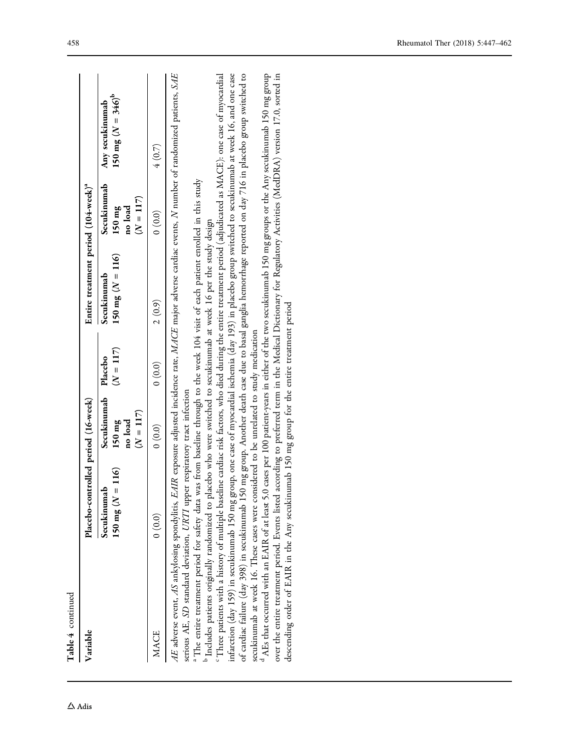| Variable                                                                                                                                                                                                                                                                                                                                                                                                                                                                                                                                                                                                                                                                                                                                                                                                                                                                                                                                                                                                                                                                                                                                                                                                                                                                                                                                                                                                                                                                          | Placebo-controlled period (16-week)       |                                               |                      | Entire treatment period (104-week) <sup>a</sup> |                                               |                                                                                                                   |
|-----------------------------------------------------------------------------------------------------------------------------------------------------------------------------------------------------------------------------------------------------------------------------------------------------------------------------------------------------------------------------------------------------------------------------------------------------------------------------------------------------------------------------------------------------------------------------------------------------------------------------------------------------------------------------------------------------------------------------------------------------------------------------------------------------------------------------------------------------------------------------------------------------------------------------------------------------------------------------------------------------------------------------------------------------------------------------------------------------------------------------------------------------------------------------------------------------------------------------------------------------------------------------------------------------------------------------------------------------------------------------------------------------------------------------------------------------------------------------------|-------------------------------------------|-----------------------------------------------|----------------------|-------------------------------------------------|-----------------------------------------------|-------------------------------------------------------------------------------------------------------------------|
|                                                                                                                                                                                                                                                                                                                                                                                                                                                                                                                                                                                                                                                                                                                                                                                                                                                                                                                                                                                                                                                                                                                                                                                                                                                                                                                                                                                                                                                                                   | $150 \text{ mg} (N = 116)$<br>Secukinumab | Secukinumab<br>$(N=117)$<br>150 mg<br>no load | $(N=117)$<br>Placebo | $150 \text{ mg} (N = 116)$<br>Secukinumab       | Secukinumab<br>$(N=117)$<br>no load<br>150 mg | 150 mg ( $N = 346$ ) <sup>b</sup><br>Any secukinumab                                                              |
| MACE                                                                                                                                                                                                                                                                                                                                                                                                                                                                                                                                                                                                                                                                                                                                                                                                                                                                                                                                                                                                                                                                                                                                                                                                                                                                                                                                                                                                                                                                              | (0.0)                                     | (0.0)                                         | $0\ (0.0)$           | (0.9)                                           | (0.0) 0                                       | 4(0.7)                                                                                                            |
| <sup>c</sup> Three patients with a history of multiple baseline cardiac risk factors, who died during the entire treatment period (adjudicated as MACE): one case of myocardial<br>infarction (day 159) in secukinumab 150 mg group, one case of myocardial ischemia (day 193) in placebo group switched to secukinumab at week 16, and one case<br>AE adverse event, AS ankylosing spondylitis, EAIR exposure adjusted incidence rate, MACE major adverse cardiac events, N number of randomized patients, SAE<br><sup>d</sup> AEs that occurred with an EAIR of at least 5.0 cases per 100 patient-years in either of the two secukinumab 150 mg groups or the Any secukinumab 150 mg group<br>over the entire treatment period. Events listed according to preferred term in the Medical Dictionary for Regulatory Activities (MedDRA) version 17.0, sorted in<br><sup>a</sup> The entire treatment period for safety data was from baseline through to the week 104 visit of each patient enrolled in this study<br><sup>b</sup> Includes patients originally randomized to placebo who were switched to secukinumab at week 16 per the study design<br>descending order of EAIR in the Any secukinumab 150 mg group for the entire treatment period<br>secukinumab at week 16. These cases were considered to be unrelated to study medication<br>serious AE, SD standard deviation, URTI upper respiratory tract infection<br>of cardiac failure (day 398) in secukinumab 1 |                                           |                                               |                      |                                                 |                                               | 150 mg group. Another death case due to basal ganglia hemorrhage reported on day 716 in placebo group switched to |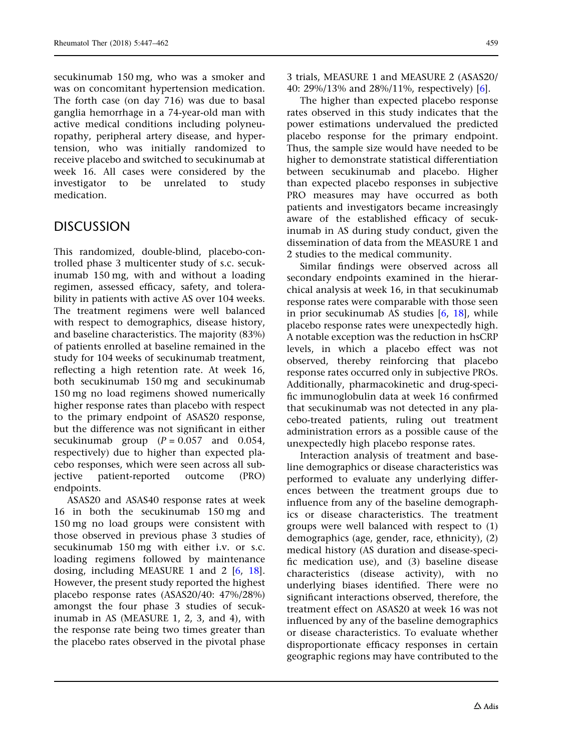secukinumab 150 mg, who was a smoker and was on concomitant hypertension medication. The forth case (on day 716) was due to basal ganglia hemorrhage in a 74-year-old man with active medical conditions including polyneuropathy, peripheral artery disease, and hypertension, who was initially randomized to receive placebo and switched to secukinumab at week 16. All cases were considered by the investigator to be unrelated to study medication.

### **DISCUSSION**

This randomized, double-blind, placebo-controlled phase 3 multicenter study of s.c. secukinumab 150 mg, with and without a loading regimen, assessed efficacy, safety, and tolerability in patients with active AS over 104 weeks. The treatment regimens were well balanced with respect to demographics, disease history, and baseline characteristics. The majority (83%) of patients enrolled at baseline remained in the study for 104 weeks of secukinumab treatment, reflecting a high retention rate. At week 16, both secukinumab 150 mg and secukinumab 150 mg no load regimens showed numerically higher response rates than placebo with respect to the primary endpoint of ASAS20 response, but the difference was not significant in either secukinumab group  $(P = 0.057$  and 0.054, respectively) due to higher than expected placebo responses, which were seen across all subjective patient-reported outcome (PRO) endpoints.

ASAS20 and ASAS40 response rates at week 16 in both the secukinumab 150 mg and 150 mg no load groups were consistent with those observed in previous phase 3 studies of secukinumab 150 mg with either i.v. or s.c. loading regimens followed by maintenance dosing, including MEASURE 1 and 2 [[6](#page-14-0), [18\]](#page-15-0). However, the present study reported the highest placebo response rates (ASAS20/40: 47%/28%) amongst the four phase 3 studies of secukinumab in AS (MEASURE 1, 2, 3, and 4), with the response rate being two times greater than the placebo rates observed in the pivotal phase

3 trials, MEASURE 1 and MEASURE 2 (ASAS20/ 40: 29%/13% and 28%/11%, respectively) [[6](#page-14-0)].

The higher than expected placebo response rates observed in this study indicates that the power estimations undervalued the predicted placebo response for the primary endpoint. Thus, the sample size would have needed to be higher to demonstrate statistical differentiation between secukinumab and placebo. Higher than expected placebo responses in subjective PRO measures may have occurred as both patients and investigators became increasingly aware of the established efficacy of secukinumab in AS during study conduct, given the dissemination of data from the MEASURE 1 and 2 studies to the medical community.

Similar findings were observed across all secondary endpoints examined in the hierarchical analysis at week 16, in that secukinumab response rates were comparable with those seen in prior secukinumab AS studies [\[6,](#page-14-0) [18](#page-15-0)], while placebo response rates were unexpectedly high. A notable exception was the reduction in hsCRP levels, in which a placebo effect was not observed, thereby reinforcing that placebo response rates occurred only in subjective PROs. Additionally, pharmacokinetic and drug-specific immunoglobulin data at week 16 confirmed that secukinumab was not detected in any placebo-treated patients, ruling out treatment administration errors as a possible cause of the unexpectedly high placebo response rates.

Interaction analysis of treatment and baseline demographics or disease characteristics was performed to evaluate any underlying differences between the treatment groups due to influence from any of the baseline demographics or disease characteristics. The treatment groups were well balanced with respect to (1) demographics (age, gender, race, ethnicity), (2) medical history (AS duration and disease-specific medication use), and (3) baseline disease characteristics (disease activity), with no underlying biases identified. There were no significant interactions observed, therefore, the treatment effect on ASAS20 at week 16 was not influenced by any of the baseline demographics or disease characteristics. To evaluate whether disproportionate efficacy responses in certain geographic regions may have contributed to the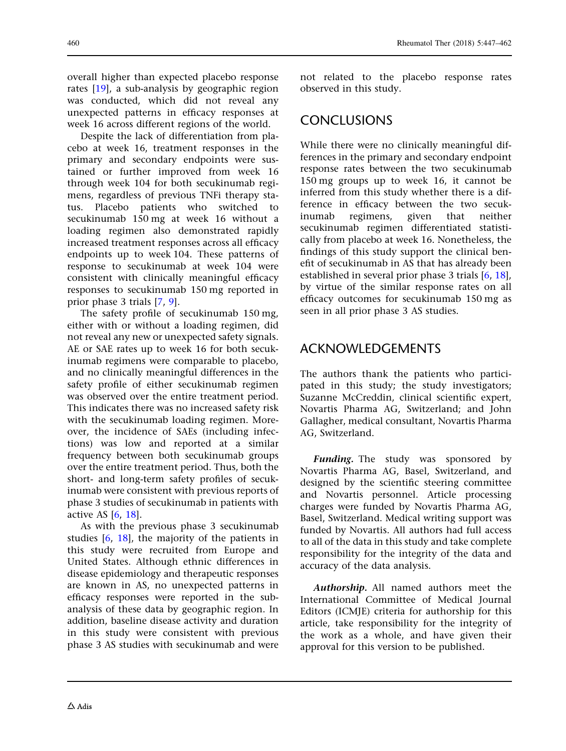overall higher than expected placebo response rates [\[19\]](#page-15-0), a sub-analysis by geographic region was conducted, which did not reveal any unexpected patterns in efficacy responses at week 16 across different regions of the world.

Despite the lack of differentiation from placebo at week 16, treatment responses in the primary and secondary endpoints were sustained or further improved from week 16 through week 104 for both secukinumab regimens, regardless of previous TNFi therapy status. Placebo patients who switched to secukinumab 150 mg at week 16 without a loading regimen also demonstrated rapidly increased treatment responses across all efficacy endpoints up to week 104. These patterns of response to secukinumab at week 104 were consistent with clinically meaningful efficacy responses to secukinumab 150 mg reported in prior phase 3 trials [[7](#page-14-0), [9](#page-14-0)].

The safety profile of secukinumab 150 mg, either with or without a loading regimen, did not reveal any new or unexpected safety signals. AE or SAE rates up to week 16 for both secukinumab regimens were comparable to placebo, and no clinically meaningful differences in the safety profile of either secukinumab regimen was observed over the entire treatment period. This indicates there was no increased safety risk with the secukinumab loading regimen. Moreover, the incidence of SAEs (including infections) was low and reported at a similar frequency between both secukinumab groups over the entire treatment period. Thus, both the short- and long-term safety profiles of secukinumab were consistent with previous reports of phase 3 studies of secukinumab in patients with active AS [\[6,](#page-14-0) [18](#page-15-0)].

As with the previous phase 3 secukinumab studies [[6](#page-14-0), [18\]](#page-15-0), the majority of the patients in this study were recruited from Europe and United States. Although ethnic differences in disease epidemiology and therapeutic responses are known in AS, no unexpected patterns in efficacy responses were reported in the subanalysis of these data by geographic region. In addition, baseline disease activity and duration in this study were consistent with previous phase 3 AS studies with secukinumab and were

not related to the placebo response rates observed in this study.

### **CONCLUSIONS**

While there were no clinically meaningful differences in the primary and secondary endpoint response rates between the two secukinumab 150 mg groups up to week 16, it cannot be inferred from this study whether there is a difference in efficacy between the two secukinumab regimens, given that neither secukinumab regimen differentiated statistically from placebo at week 16. Nonetheless, the findings of this study support the clinical benefit of secukinumab in AS that has already been established in several prior phase 3 trials [[6](#page-14-0), [18](#page-15-0)], by virtue of the similar response rates on all efficacy outcomes for secukinumab 150 mg as seen in all prior phase 3 AS studies.

# ACKNOWLEDGEMENTS

The authors thank the patients who participated in this study; the study investigators; Suzanne McCreddin, clinical scientific expert, Novartis Pharma AG, Switzerland; and John Gallagher, medical consultant, Novartis Pharma AG, Switzerland.

Funding. The study was sponsored by Novartis Pharma AG, Basel, Switzerland, and designed by the scientific steering committee and Novartis personnel. Article processing charges were funded by Novartis Pharma AG, Basel, Switzerland. Medical writing support was funded by Novartis. All authors had full access to all of the data in this study and take complete responsibility for the integrity of the data and accuracy of the data analysis.

Authorship. All named authors meet the International Committee of Medical Journal Editors (ICMJE) criteria for authorship for this article, take responsibility for the integrity of the work as a whole, and have given their approval for this version to be published.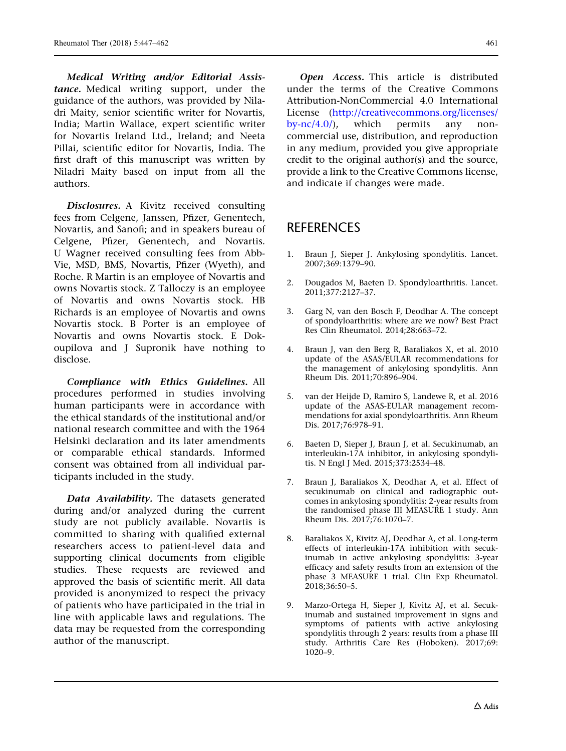<span id="page-14-0"></span>Medical Writing and/or Editorial Assistance. Medical writing support, under the guidance of the authors, was provided by Niladri Maity, senior scientific writer for Novartis, India; Martin Wallace, expert scientific writer for Novartis Ireland Ltd., Ireland; and Neeta Pillai, scientific editor for Novartis, India. The first draft of this manuscript was written by Niladri Maity based on input from all the authors.

Disclosures. A Kivitz received consulting fees from Celgene, Janssen, Pfizer, Genentech, Novartis, and Sanofi; and in speakers bureau of Celgene, Pfizer, Genentech, and Novartis. U Wagner received consulting fees from Abb-Vie, MSD, BMS, Novartis, Pfizer (Wyeth), and Roche. R Martin is an employee of Novartis and owns Novartis stock. Z Talloczy is an employee of Novartis and owns Novartis stock. HB Richards is an employee of Novartis and owns Novartis stock. B Porter is an employee of Novartis and owns Novartis stock. E Dokoupilova and J Supronik have nothing to disclose.

Compliance with Ethics Guidelines. All procedures performed in studies involving human participants were in accordance with the ethical standards of the institutional and/or national research committee and with the 1964 Helsinki declaration and its later amendments or comparable ethical standards. Informed consent was obtained from all individual participants included in the study.

Data Availability. The datasets generated during and/or analyzed during the current study are not publicly available. Novartis is committed to sharing with qualified external researchers access to patient-level data and supporting clinical documents from eligible studies. These requests are reviewed and approved the basis of scientific merit. All data provided is anonymized to respect the privacy of patients who have participated in the trial in line with applicable laws and regulations. The data may be requested from the corresponding author of the manuscript.

Open Access. This article is distributed under the terms of the Creative Commons Attribution-NonCommercial 4.0 International License ([http://creativecommons.org/licenses/](http://creativecommons.org/licenses/by-nc/4.0/) by- $\frac{n c}{4.0}$ , which permits any noncommercial use, distribution, and reproduction in any medium, provided you give appropriate credit to the original author(s) and the source, provide a link to the Creative Commons license, and indicate if changes were made.

# **REFERENCES**

- 1. Braun J, Sieper J. Ankylosing spondylitis. Lancet. 2007;369:1379–90.
- 2. Dougados M, Baeten D. Spondyloarthritis. Lancet. 2011;377:2127–37.
- 3. Garg N, van den Bosch F, Deodhar A. The concept of spondyloarthritis: where are we now? Best Pract Res Clin Rheumatol. 2014;28:663–72.
- 4. Braun J, van den Berg R, Baraliakos X, et al. 2010 update of the ASAS/EULAR recommendations for the management of ankylosing spondylitis. Ann Rheum Dis. 2011;70:896–904.
- 5. van der Heijde D, Ramiro S, Landewe R, et al. 2016 update of the ASAS-EULAR management recommendations for axial spondyloarthritis. Ann Rheum Dis. 2017;76:978–91.
- 6. Baeten D, Sieper J, Braun J, et al. Secukinumab, an interleukin-17A inhibitor, in ankylosing spondylitis. N Engl J Med. 2015;373:2534–48.
- 7. Braun J, Baraliakos X, Deodhar A, et al. Effect of secukinumab on clinical and radiographic outcomes in ankylosing spondylitis: 2-year results from the randomised phase III MEASURE 1 study. Ann Rheum Dis. 2017;76:1070–7.
- 8. Baraliakos X, Kivitz AJ, Deodhar A, et al. Long-term effects of interleukin-17A inhibition with secukinumab in active ankylosing spondylitis: 3-year efficacy and safety results from an extension of the phase 3 MEASURE 1 trial. Clin Exp Rheumatol. 2018;36:50–5.
- 9. Marzo-Ortega H, Sieper J, Kivitz AJ, et al. Secukinumab and sustained improvement in signs and symptoms of patients with active ankylosing spondylitis through 2 years: results from a phase III study. Arthritis Care Res (Hoboken). 2017;69: 1020–9.